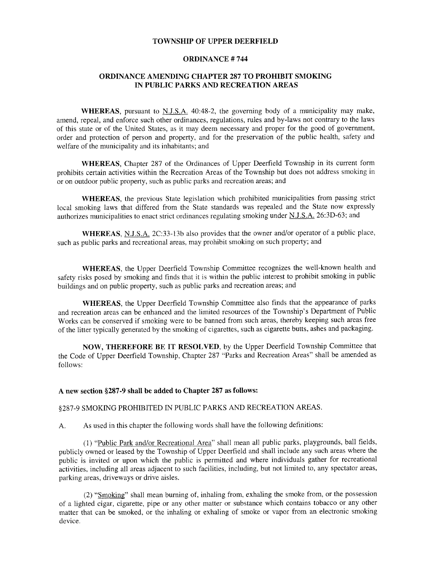## TOWNSHIP OF UPPER DEERFIELD

### ORDINANCE # 744

# ORDINANCE AMENDING CHAPTER 287 TO PROHIBIT SMOKING IN PUBLIC PARKS AND RECREATION AREAS

WHEREAS, pursuant to  $N.I.S.A.$  40:48-2, the governing body of a municipality may make, amend, repeal, and enforce such other ordinances, regulations, rules and by-laws not contrary to the laws of this state or of the United States, as it may deem necessary and proper for the good of government, order and protection of person and property, and for the preservation of the public health, safety and welfare of the municipality and its inhabitants; and

WHEREAS, Chapter 287 of the Ordinances of Upper Deerfield Township in its current form prohibits certain activities within the Recreation Areas of the Township but does not address smoking in or on outdoor public property, such as public parks and recreation areas; and

WHEREAS, the previous State legislation which prohibited municipalities from passing strict local smoking laws that differed from the State standards was repealed and the State now expressly authorizes municipalities to enact strict ordinances regulating smoking under N.J.S.A. 26:3D-63; and

WHEREAS, N.J.S.A. 2C:33-13b also provides that the owner and/or operator of a public place, such as public parks and recreational areas, may prohibit smoking on such property; and

WHEREAS, the Upper Deerfield Township Committee recognizes the well-known health and safety risks posed by smoking and finds that it is within the public interest to prohibit smoking in public buildings and on public property, such as public parks and recreation areas; and

WHEREAS, the Upper Deerfield Township Committee also finds that the appearance of parks and recreation areas can be enhanced and the limited resources of the Township's Department of Public Works can be conserved if smoking were to be banned from such areas, thereby keeping such areas free of the litter typically generated by the smoking of cigarettes, such as cigarette butts, ashes and packaging.

NOW, THEREFORE BE IT RESOLVED, by the Upper Deerfield Township Committee that the Code of Upper Deerfield Township, Chapter 287 "Parks and Recreation Areas" shall be amended as follows:

### A new section §287-9 shall be added to Chapter 287 as follows:

## § 287-9 SMOKING PROHIBITED IN PUBLIC PARKS AND RECREATION AREAS.

A. As used in this chapter the following words shall have the following definitions:

1) " Public Park and/ or Recreational Area" shall mean all public parks, playgrounds, ball fields, publicly owned or leased by the Township of Upper Deerfield and shall include any such areas where the public is invited or upon which the public is permitted and where individuals gather for recreational activities, including all areas adjacent to such facilities, including, but not limited to, any spectator areas, parking areas, driveways or drive aisles.

2) " Smoking" shall mean burning of, inhaling from, exhaling the smoke from, or the possession of <sup>a</sup> lighted cigar, cigarette, pipe or any other matter or substance which contains tobacco or any other matter that can be smoked, or the inhaling or exhaling of smoke or vapor from an electronic smoking device.